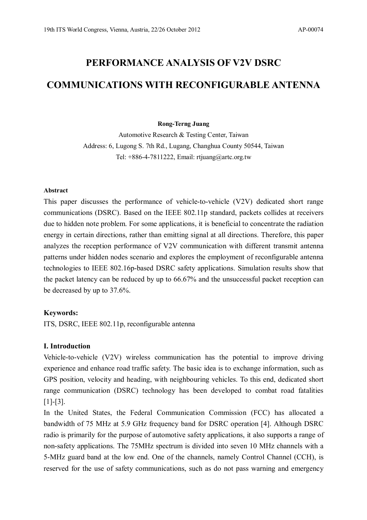# **PERFORMANCE ANALYSIS OF V2V DSRC**

# **COMMUNICATIONS WITH RECONFIGURABLE ANTENNA**

#### **Rong-Terng Juang**

Automotive Research & Testing Center, Taiwan Address: 6, Lugong S. 7th Rd., Lugang, Changhua County 50544, Taiwan Tel: +886-4-7811222, Email: rtjuang@artc.org.tw

#### **Abstract**

This paper discusses the performance of vehicle-to-vehicle (V2V) dedicated short range communications (DSRC). Based on the IEEE 802.11p standard, packets collides at receivers due to hidden note problem. For some applications, it is beneficial to concentrate the radiation energy in certain directions, rather than emitting signal at all directions. Therefore, this paper analyzes the reception performance of V2V communication with different transmit antenna patterns under hidden nodes scenario and explores the employment of reconfigurable antenna technologies to IEEE 802.16p-based DSRC safety applications. Simulation results show that the packet latency can be reduced by up to 66.67% and the unsuccessful packet reception can be decreased by up to 37.6%.

#### **Keywords:**

ITS, DSRC, IEEE 802.11p, reconfigurable antenna

### **I. Introduction**

Vehicle-to-vehicle (V2V) wireless communication has the potential to improve driving experience and enhance road traffic safety. The basic idea is to exchange information, such as GPS position, velocity and heading, with neighbouring vehicles. To this end, dedicated short range communication (DSRC) technology has been developed to combat road fatalities [1]-[3].

In the United States, the Federal Communication Commission (FCC) has allocated a bandwidth of 75 MHz at 5.9 GHz frequency band for DSRC operation [4]. Although DSRC radio is primarily for the purpose of automotive safety applications, it also supports a range of non-safety applications. The 75MHz spectrum is divided into seven 10 MHz channels with a 5-MHz guard band at the low end. One of the channels, namely Control Channel (CCH), is reserved for the use of safety communications, such as do not pass warning and emergency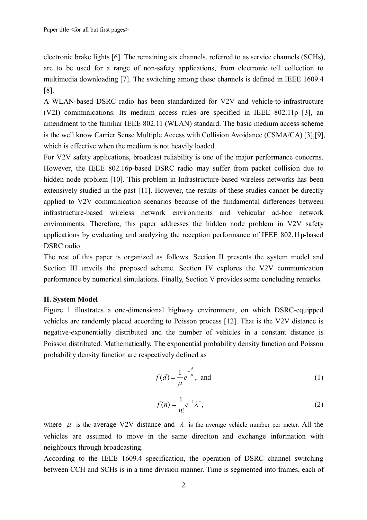electronic brake lights [6]. The remaining six channels, referred to as service channels (SCHs), are to be used for a range of non-safety applications, from electronic toll collection to multimedia downloading [7]. The switching among these channels is defined in IEEE 1609.4 [8].

A WLAN-based DSRC radio has been standardized for V2V and vehicle-to-infrastructure (V2I) communications. Its medium access rules are specified in IEEE 802.11p [3], an amendment to the familiar IEEE 802.11 (WLAN) standard. The basic medium access scheme is the well know Carrier Sense Multiple Access with Collision Avoidance (CSMA/CA) [3],[9], which is effective when the medium is not heavily loaded.

For V2V safety applications, broadcast reliability is one of the major performance concerns. However, the IEEE 802.16p-based DSRC radio may suffer from packet collision due to hidden node problem [10]. This problem in Infrastructure-based wireless networks has been extensively studied in the past [11]. However, the results of these studies cannot be directly applied to V2V communication scenarios because of the fundamental differences between infrastructure-based wireless network environments and vehicular ad-hoc network environments. Therefore, this paper addresses the hidden node problem in V2V safety applications by evaluating and analyzing the reception performance of IEEE 802.11p-based DSRC radio.

The rest of this paper is organized as follows. Section II presents the system model and Section III unveils the proposed scheme. Section IV explores the V2V communication performance by numerical simulations. Finally, Section V provides some concluding remarks.

# **II. System Model**

Figure 1 illustrates a one-dimensional highway environment, on which DSRC-equipped vehicles are randomly placed according to Poisson process [12]. That is the V2V distance is negative-exponentially distributed and the number of vehicles in a constant distance is Poisson distributed. Mathematically, The exponential probability density function and Poisson probability density function are respectively defined as

$$
f(d) = \frac{1}{\mu} e^{-\frac{d}{\mu}}, \text{ and} \tag{1}
$$

$$
f(n) = \frac{1}{n!} e^{-\lambda} \lambda^n,
$$
 (2)

where  $\mu$  is the average V2V distance and  $\lambda$  is the average vehicle number per meter. All the vehicles are assumed to move in the same direction and exchange information with neighbours through broadcasting.

According to the IEEE 1609.4 specification, the operation of DSRC channel switching between CCH and SCHs is in a time division manner. Time is segmented into frames, each of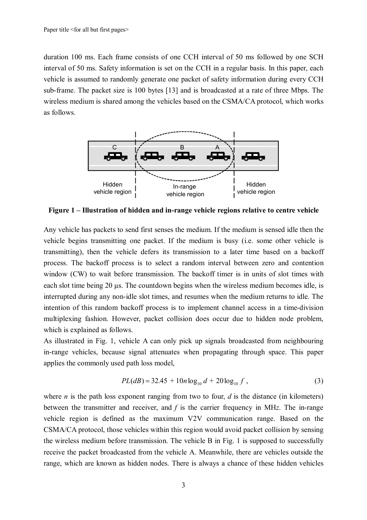duration 100 ms. Each frame consists of one CCH interval of 50 ms followed by one SCH interval of 50 ms. Safety information is set on the CCH in a regular basis. In this paper, each vehicle is assumed to randomly generate one packet of safety information during every CCH sub-frame. The packet size is 100 bytes [13] and is broadcasted at a rate of three Mbps. The wireless medium is shared among the vehicles based on the CSMA/CA protocol, which works as follows.



**Figure 1 – Illustration of hidden and in-range vehicle regions relative to centre vehicle**

Any vehicle has packets to send first senses the medium. If the medium is sensed idle then the vehicle begins transmitting one packet. If the medium is busy (i.e. some other vehicle is transmitting), then the vehicle defers its transmission to a later time based on a backoff process. The backoff process is to select a random interval between zero and contention window (CW) to wait before transmission. The backoff timer is in units of slot times with each slot time being 20 μs. The countdown begins when the wireless medium becomes idle, is interrupted during any non-idle slot times, and resumes when the medium returns to idle. The intention of this random backoff process is to implement channel access in a time-division multiplexing fashion. However, packet collision does occur due to hidden node problem, which is explained as follows.

As illustrated in Fig. 1, vehicle A can only pick up signals broadcasted from neighbouring in-range vehicles, because signal attenuates when propagating through space. This paper applies the commonly used path loss model,

$$
PL(dB) = 32.45 + 10n \log_{10} d + 20 \log_{10} f,
$$
\n(3)

where *n* is the path loss exponent ranging from two to four, *d* is the distance (in kilometers) between the transmitter and receiver, and *f* is the carrier frequency in MH*z*. The in-range vehicle region is defined as the maximum V2V communication range. Based on the CSMA/CA protocol, those vehicles within this region would avoid packet collision by sensing the wireless medium before transmission. The vehicle B in Fig. 1 is supposed to successfully receive the packet broadcasted from the vehicle A. Meanwhile, there are vehicles outside the range, which are known as hidden nodes. There is always a chance of these hidden vehicles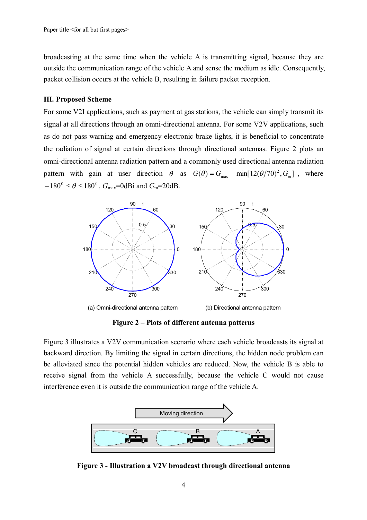broadcasting at the same time when the vehicle A is transmitting signal, because they are outside the communication range of the vehicle A and sense the medium as idle. Consequently, packet collision occurs at the vehicle B, resulting in failure packet reception.

### **III. Proposed Scheme**

For some V2I applications, such as payment at gas stations, the vehicle can simply transmit its signal at all directions through an omni-directional antenna. For some V2V applications, such as do not pass warning and emergency electronic brake lights, it is beneficial to concentrate the radiation of signal at certain directions through directional antennas. Figure 2 plots an omni-directional antenna radiation pattern and a commonly used directional antenna radiation pattern with gain at user direction  $\theta$  as  $G(\theta) = G_{\text{max}} - \min[12(\theta/70)^2, G_m]$ , where  $-180^{\circ} \le \theta \le 180^{\circ}$ ,  $G_{\text{max}}$ =0dBi and  $G_{\text{m}}$ =20dB.



**Figure 2 – Plots of different antenna patterns**

Figure 3 illustrates a V2V communication scenario where each vehicle broadcasts its signal at backward direction. By limiting the signal in certain directions, the hidden node problem can be alleviated since the potential hidden vehicles are reduced. Now, the vehicle B is able to receive signal from the vehicle A successfully, because the vehicle C would not cause interference even it is outside the communication range of the vehicle A.



**Figure 3 - Illustration a V2V broadcast through directional antenna**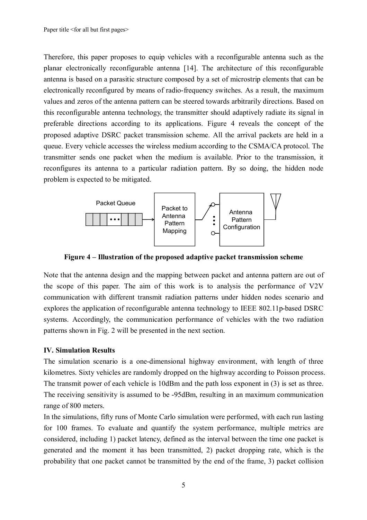Therefore, this paper proposes to equip vehicles with a reconfigurable antenna such as the planar electronically reconfigurable antenna [14]. The architecture of this reconfigurable antenna is based on a parasitic structure composed by a set of microstrip elements that can be electronically reconfigured by means of radio-frequency switches. As a result, the maximum values and zeros of the antenna pattern can be steered towards arbitrarily directions. Based on this reconfigurable antenna technology, the transmitter should adaptively radiate its signal in preferable directions according to its applications. Figure 4 reveals the concept of the proposed adaptive DSRC packet transmission scheme. All the arrival packets are held in a queue. Every vehicle accesses the wireless medium according to the CSMA/CA protocol. The transmitter sends one packet when the medium is available. Prior to the transmission, it reconfigures its antenna to a particular radiation pattern. By so doing, the hidden node problem is expected to be mitigated.



**Figure 4 – Illustration of the proposed adaptive packet transmission scheme**

Note that the antenna design and the mapping between packet and antenna pattern are out of the scope of this paper. The aim of this work is to analysis the performance of V2V communication with different transmit radiation patterns under hidden nodes scenario and explores the application of reconfigurable antenna technology to IEEE 802.11p-based DSRC systems. Accordingly, the communication performance of vehicles with the two radiation patterns shown in Fig. 2 will be presented in the next section.

## **IV. Simulation Results**

The simulation scenario is a one-dimensional highway environment, with length of three kilometres. Sixty vehicles are randomly dropped on the highway according to Poisson process. The transmit power of each vehicle is 10dBm and the path loss exponent in (3) is set as three. The receiving sensitivity is assumed to be -95dBm, resulting in an maximum communication range of 800 meters.

In the simulations, fifty runs of Monte Carlo simulation were performed, with each run lasting for 100 frames. To evaluate and quantify the system performance, multiple metrics are considered, including 1) packet latency, defined as the interval between the time one packet is generated and the moment it has been transmitted, 2) packet dropping rate, which is the probability that one packet cannot be transmitted by the end of the frame, 3) packet collision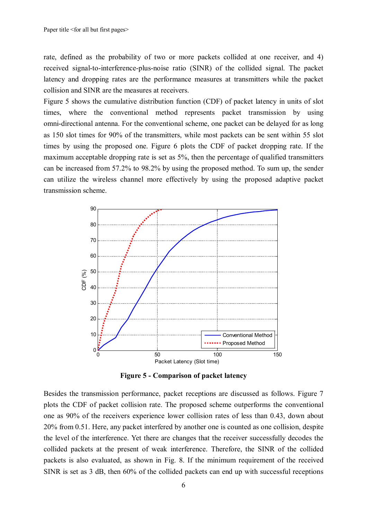rate, defined as the probability of two or more packets collided at one receiver, and 4) received signal-to-interference-plus-noise ratio (SINR) of the collided signal. The packet latency and dropping rates are the performance measures at transmitters while the packet collision and SINR are the measures at receivers.

Figure 5 shows the cumulative distribution function (CDF) of packet latency in units of slot times, where the conventional method represents packet transmission by using omni-directional antenna. For the conventional scheme, one packet can be delayed for as long as 150 slot times for 90% of the transmitters, while most packets can be sent within 55 slot times by using the proposed one. Figure 6 plots the CDF of packet dropping rate. If the maximum acceptable dropping rate is set as 5%, then the percentage of qualified transmitters can be increased from 57.2% to 98.2% by using the proposed method. To sum up, the sender can utilize the wireless channel more effectively by using the proposed adaptive packet transmission scheme.



**Figure 5 - Comparison of packet latency**

Besides the transmission performance, packet receptions are discussed as follows. Figure 7 plots the CDF of packet collision rate. The proposed scheme outperforms the conventional one as 90% of the receivers experience lower collision rates of less than 0.43, down about 20% from 0.51. Here, any packet interfered by another one is counted as one collision, despite the level of the interference. Yet there are changes that the receiver successfully decodes the collided packets at the present of weak interference. Therefore, the SINR of the collided packets is also evaluated, as shown in Fig. 8. If the minimum requirement of the received SINR is set as 3 dB, then 60% of the collided packets can end up with successful receptions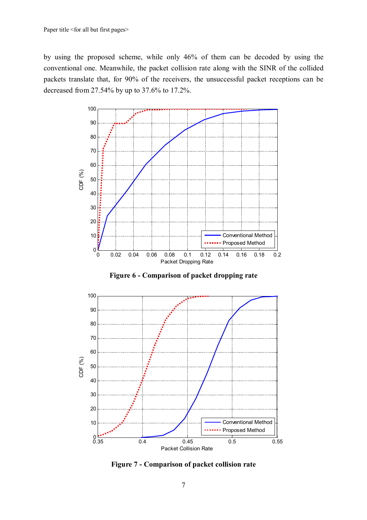by using the proposed scheme, while only 46% of them can be decoded by using the conventional one. Meanwhile, the packet collision rate along with the SINR of the collided packets translate that, for 90% of the receivers, the unsuccessful packet receptions can be decreased from 27.54% by up to 37.6% to 17.2%.



**Figure 6 - Comparison of packet dropping rate**



**Figure 7 - Comparison of packet collision rate**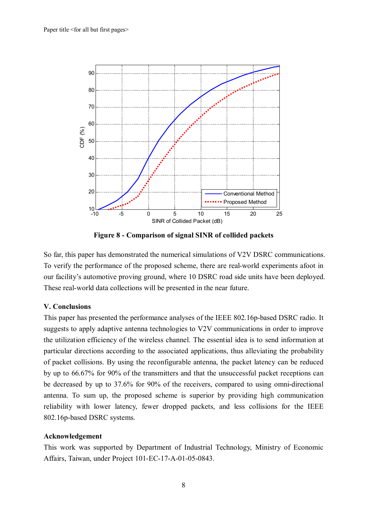

**Figure 8 - Comparison of signal SINR of collided packets**

So far, this paper has demonstrated the numerical simulations of V2V DSRC communications. To verify the performance of the proposed scheme, there are real-world experiments afoot in our facility's automotive proving ground, where 10 DSRC road side units have been deployed. These real-world data collections will be presented in the near future.

# **V. Conclusions**

This paper has presented the performance analyses of the IEEE 802.16p-based DSRC radio. It suggests to apply adaptive antenna technologies to V2V communications in order to improve the utilization efficiency of the wireless channel. The essential idea is to send information at particular directions according to the associated applications, thus alleviating the probability of packet collisions. By using the reconfigurable antenna, the packet latency can be reduced by up to 66.67% for 90% of the transmitters and that the unsuccessful packet receptions can be decreased by up to 37.6% for 90% of the receivers, compared to using omni-directional antenna. To sum up, the proposed scheme is superior by providing high communication reliability with lower latency, fewer dropped packets, and less collisions for the IEEE 802.16p-based DSRC systems.

# **Acknowledgement**

This work was supported by Department of Industrial Technology, Ministry of Economic Affairs, Taiwan, under Project 101-EC-17-A-01-05-0843.